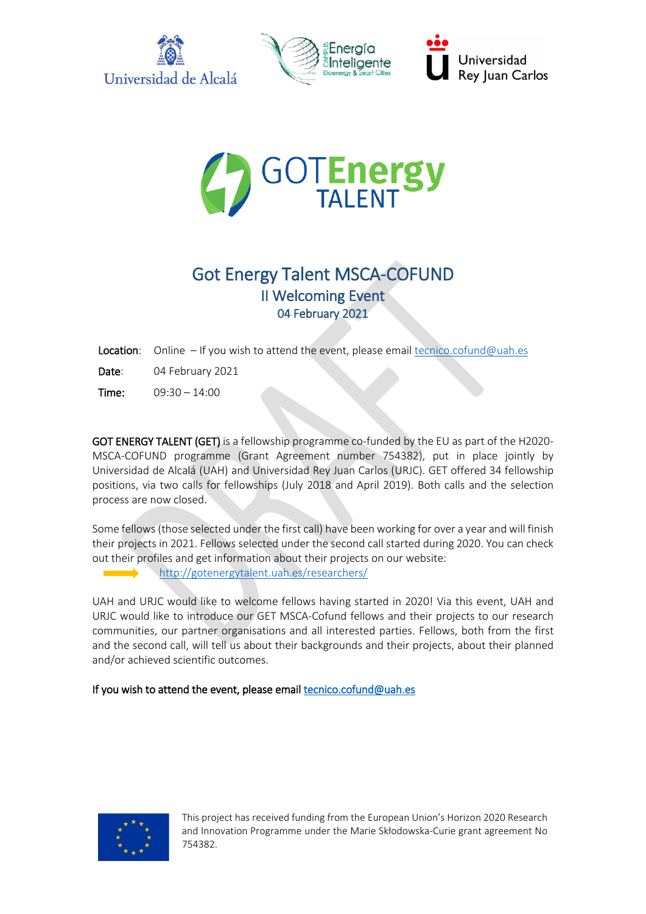



Universidad **Rey Juan Carlos** 



# Got Energy Talent MSCA-COFUND II Welcoming Event 04 February 2021

Location: Online – If you wish to attend the event, please email [tecnico.cofund@uah.es](mailto:tecnico.cofund@uah.es)

Date: 04 February 2021

Time: 09:30 – 14:00

GOT ENERGY TALENT (GET) is a fellowship programme co-funded by the EU as part of the H2020- MSCA-COFUND programme (Grant Agreement number 754382), put in place jointly by Universidad de Alcalá [\(UAH\)](https://www.uah.es/en/) and Universidad Rey Juan Carlos [\(URJC\)](https://www.urjc.es/en/?id=147). GET offered 34 fellowship positions, via two calls for fellowships (July 2018 and April 2019). Both calls and the selection process are now closed.

Some fellows (those selected under the first call) have been working for over a year and will finish their projects in 2021. Fellows selected under the second call started during 2020. You can check out their profiles and get information about their projects on our website:

<http://gotenergytalent.uah.es/researchers/>

UAH and URJC would like to welcome fellows having started in 2020! Via this event, UAH and URJC would like to introduce our GET MSCA-Cofund fellows and their projects to our research communities, our partner organisations and all interested parties. Fellows, both from the first and the second call, will tell us about their backgrounds and their projects, about their planned and/or achieved scientific outcomes.

If you wish to attend the event, please email tecnico.cofund@uah.es

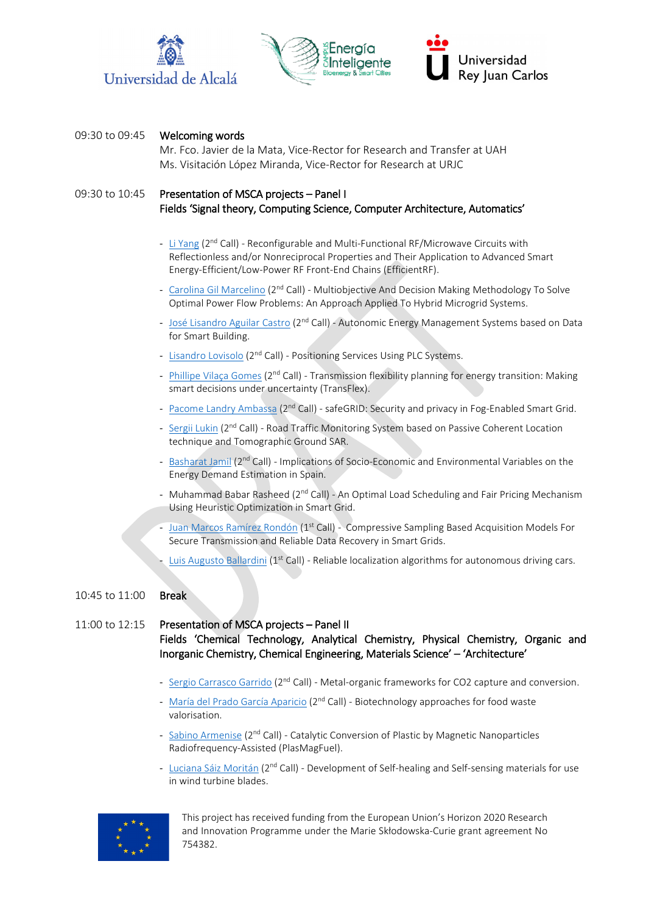





#### 09:30 to 09:45 Welcoming words

Mr. Fco. Javier de la Mata, Vice-Rector for Research and Transfer at UAH Ms. Visitación López Miranda, Vice-Rector for Research at URJC

## 09:30 to 10:45 Presentation of MSCA projects – Panel I Fields 'Signal theory, Computing Science, Computer Architecture, Automatics'

- Li [Yang](http://gotenergytalent.uah.es/member/li-yang/) (2<sup>nd</sup> Call) Reconfigurable and Multi-Functional RF/Microwave Circuits with Reflectionless and/or Nonreciprocal Properties and Their Application to Advanced Smart Energy-Efficient/Low-Power RF Front-End Chains (EfficientRF).
- Carolina [Gil Marcelino](http://gotenergytalent.uah.es/member/carolina-gil-marcelino/) (2<sup>nd</sup> Call) Multiobjective And Decision Making Methodology To Solve Optimal Power Flow Problems: An Approach Applied To Hybrid Microgrid Systems.
- [José Lisandro Aguilar Castro](http://gotenergytalent.uah.es/member/jose-lisandro-aguilar-castro/) (2<sup>nd</sup> Call) Autonomic Energy Management Systems based on Data for Smart Building.
- [Lisandro](http://gotenergytalent.uah.es/member/lisandro-lovisolo/) Lovisolo (2<sup>nd</sup> Call) Positioning Services Using PLC Systems.
- Phillipe [Vilaça Gomes](http://gotenergytalent.uah.es/member/phillipe-vilaca/) (2<sup>nd</sup> Call) Transmission flexibility planning for energy transition: Making smart decisions under uncertainty (TransFlex).
- [Pacome Landry](http://gotenergytalent.uah.es/member/pacome-landry-ambassa/) Ambassa (2<sup>nd</sup> Call) safeGRID: Security and privacy in Fog-Enabled Smart Grid.
- [Sergii](http://gotenergytalent.uah.es/member/sergii-lukin/) Lukin (2<sup>nd</sup> Call) Road Traffic Monitoring System based on Passive Coherent Location technique and Tomographic Ground SAR.
- [Basharat](http://gotenergytalent.uah.es/member/basharat-jamil/) Jamil (2<sup>nd</sup> Call) Implications of Socio-Economic and Environmental Variables on the Energy Demand Estimation in Spain.
- Muhammad Babar Rasheed ( $2<sup>nd</sup>$  Call) An Optimal Load Scheduling and Fair Pricing Mechanism Using Heuristic Optimization in Smart Grid.
- Juan Marcos [Ramírez Rondón](http://gotenergytalent.uah.es/member/juan-marcos-ramirez-rondon/) ( $1<sup>st</sup>$  Call) Compressive Sampling Based Acquisition Models For Secure Transmission and Reliable Data Recovery in Smart Grids.
- [Luis Augusto](http://gotenergytalent.uah.es/member/augusto-luis-ballardini/) Ballardini ( $1<sup>st</sup>$  Call) Reliable localization algorithms for autonomous driving cars.

#### 10:45 to 11:00 Break

11:00 to 12:15 Presentation of MSCA projects – Panel II Fields 'Chemical Technology, Analytical Chemistry, Physical Chemistry, Organic and Inorganic Chemistry, Chemical Engineering, Materials Science' – 'Architecture'

- Sergio [Carrasco Garrido](http://gotenergytalent.uah.es/member/sergio-carrasco/) (2<sup>nd</sup> Call) Metal-organic frameworks for CO2 capture and conversion.
- [María del Prado García Aparicio](http://gotenergytalent.uah.es/member/maria-del-prado-garcia/) (2<sup>nd</sup> Call) Biotechnology approaches for food waste valorisation.
- Sabino [Armenise](http://gotenergytalent.uah.es/member/sabino-armenise/) (2<sup>nd</sup> Call) Catalytic Conversion of Plastic by Magnetic Nanoparticles Radiofrequency-Assisted (PlasMagFuel).
- Luciana [Sáiz Moritán](http://gotenergytalent.uah.es/member/luciana-saiz/) (2<sup>nd</sup> Call) Development of Self-healing and Self-sensing materials for use in wind turbine blades.

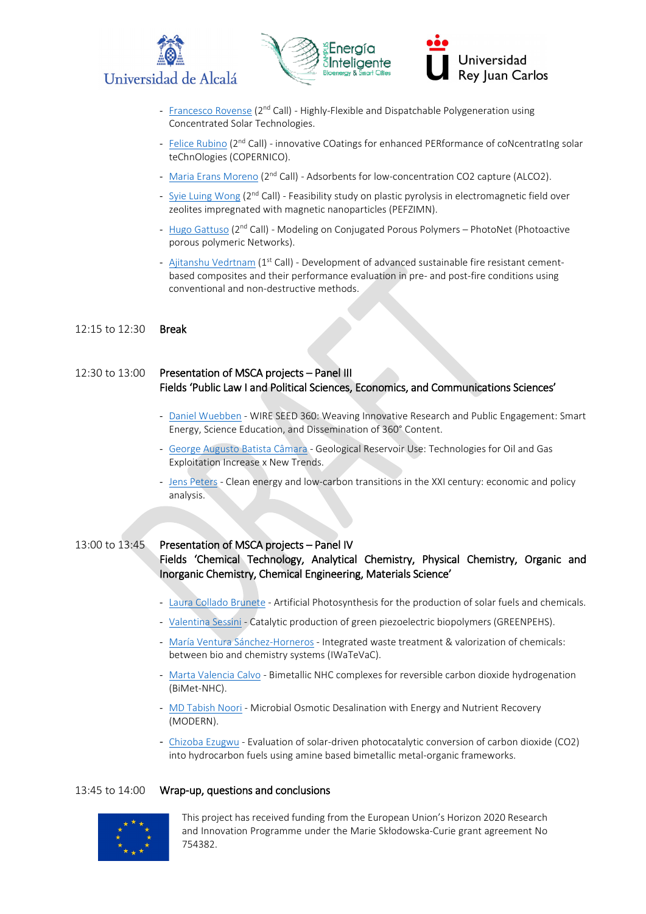





- [Francesco](http://gotenergytalent.uah.es/member/francesco-rovense/) Rovense (2<sup>nd</sup> Call) Highly-Flexible and Dispatchable Polygeneration using Concentrated Solar Technologies.
- Felice [Rubino](http://gotenergytalent.uah.es/member/felice-rubino/) (2<sup>nd</sup> Call) innovative COatings for enhanced PERformance of coNcentratIng solar teChnOlogies (COPERNICO).
- Maria [Erans Moreno](http://gotenergytalent.uah.es/member/maria-erans-moreno/) (2<sup>nd</sup> Call) Adsorbents for low-concentration CO2 capture (ALCO2).
- [Syie Luing](http://gotenergytalent.uah.es/member/syie-luing-wong/) Wong (2<sup>nd</sup> Call) Feasibility study on plastic pyrolysis in electromagnetic field over zeolites impregnated with magnetic nanoparticles (PEFZIMN).
- Hugo [Gattuso](http://gotenergytalent.uah.es/member/hugo-gattuso/) (2<sup>nd</sup> Call) Modeling on Conjugated Porous Polymers PhotoNet (Photoactive porous polymeric Networks).
- Ajitanshu [Vedrtnam](http://gotenergytalent.uah.es/member/ajitanshu-vedrtnam/) (1<sup>st</sup> Call) Development of advanced sustainable fire resistant cementbased composites and their performance evaluation in pre- and post-fire conditions using conventional and non-destructive methods.

#### 12:15 to 12:30 Break

## 12:30 to 13:00 Presentation of MSCA projects – Panel III Fields 'Public Law I and Political Sciences, Economics, and Communications Sciences'

- Daniel [Wuebben](http://gotenergytalent.uah.es/member/daniel-wuebben/) WIRE SEED 360: Weaving Innovative Research and Public Engagement: Smart Energy, Science Education, and Dissemination of 360° Content.
- George [Augusto Batista Câmara](http://gotenergytalent.uah.es/member/george-augusto-batista-camara/) Geological Reservoir Use: Technologies for Oil and Gas Exploitation Increase x New Trends.
- Jens [Peters](http://gotenergytalent.uah.es/member/jens-peters/) Clean energy and low-carbon transitions in the XXI century: economic and policy analysis.

### 13:00 to 13:45 Presentation of MSCA projects – Panel IV Fields 'Chemical Technology, Analytical Chemistry, Physical Chemistry, Organic and Inorganic Chemistry, Chemical Engineering, Materials Science'

- Laura [Collado Brunete](http://gotenergytalent.uah.es/member/laura-collado/) Artificial Photosynthesis for the production of solar fuels and chemicals.
- [Valentina](http://gotenergytalent.uah.es/member/valentina-sessini/) Sessini Catalytic production of green piezoelectric biopolymers (GREENPEHS).
- [María Ventura Sánchez](http://gotenergytalent.uah.es/member/maria-ventura/)-Horneros Integrated waste treatment & valorization of chemicals: between bio and chemistry systems (IWaTeVaC).
- Marta [Valencia Calvo](http://gotenergytalent.uah.es/member/marta-valencia/) Bimetallic NHC complexes for reversible carbon dioxide hydrogenation (BiMet-NHC).
- [MD Tabish](http://gotenergytalent.uah.es/member/md-tabish-noori/) Noori Microbial Osmotic Desalination with Energy and Nutrient Recovery (MODERN).
- [Chizoba](http://gotenergytalent.uah.es/member/chizoba-ignatius-ezugwu/) Ezugwu Evaluation of solar-driven photocatalytic conversion of carbon dioxide (CO2) into hydrocarbon fuels using amine based bimetallic metal-organic frameworks.

#### 13:45 to 14:00 Wrap-up, questions and conclusions